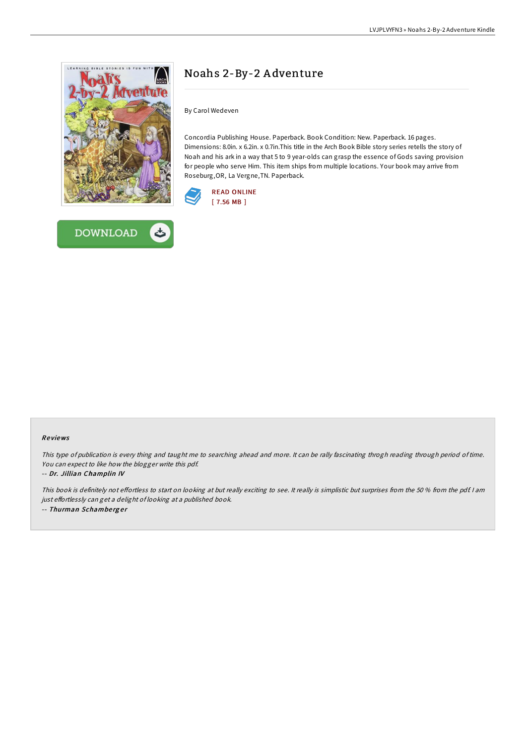



## Noahs 2-By-2 A dventure

By Carol Wedeven

Concordia Publishing House. Paperback. Book Condition: New. Paperback. 16 pages. Dimensions: 8.0in. x 6.2in. x 0.7in.This title in the Arch Book Bible story series retells the story of Noah and his ark in a way that 5 to 9 year-olds can grasp the essence of Gods saving provision for people who serve Him. This item ships from multiple locations. Your book may arrive from Roseburg,OR, La Vergne,TN. Paperback.



## Re views

This type of publication is every thing and taught me to searching ahead and more. It can be rally fascinating throgh reading through period of time. You can expect to like how the blogger write this pdf.

## -- Dr. Jillian Champlin IV

This book is definitely not effortless to start on looking at but really exciting to see. It really is simplistic but surprises from the 50 % from the pdf. I am just effortlessly can get a delight of looking at a published book. -- Thurman Schamberger